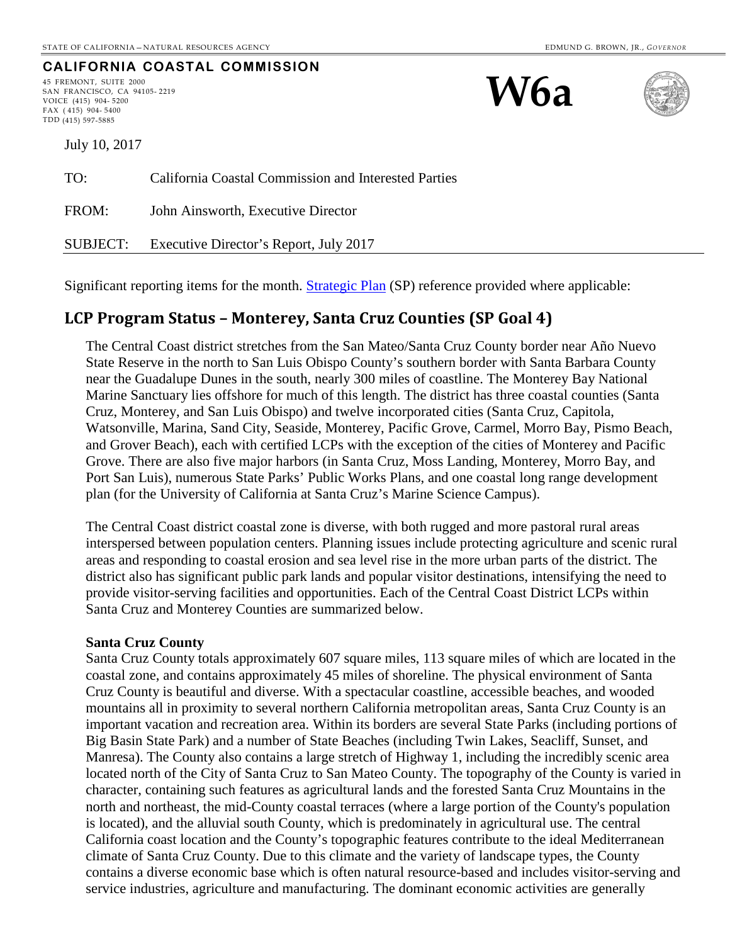## **CALIFORNIA COASTAL COMMISSION**

45 FREMONT, SUITE 2000 SAN FRANCISCO, CA 94105- 2219 VOICE (415) 904- 5200 FAX ( 415) 904- 5400 TDD (415) 597-5885





July 10, 2017 TO: California Coastal Commission and Interested Parties FROM: John Ainsworth, Executive Director

SUBJECT: Executive Director's Report, July 2017

Significant reporting items for the month. [Strategic Plan](http://www.coastal.ca.gov/strategicplan/CCC_Final_StrategicPlan_2013-2018.pdf) (SP) reference provided where applicable:

## **LCP Program Status – Monterey, Santa Cruz Counties (SP Goal 4)**

The Central Coast district stretches from the San Mateo/Santa Cruz County border near Año Nuevo State Reserve in the north to San Luis Obispo County's southern border with Santa Barbara County near the Guadalupe Dunes in the south, nearly 300 miles of coastline. The Monterey Bay National Marine Sanctuary lies offshore for much of this length. The district has three coastal counties (Santa Cruz, Monterey, and San Luis Obispo) and twelve incorporated cities (Santa Cruz, Capitola, Watsonville, Marina, Sand City, Seaside, Monterey, Pacific Grove, Carmel, Morro Bay, Pismo Beach, and Grover Beach), each with certified LCPs with the exception of the cities of Monterey and Pacific Grove. There are also five major harbors (in Santa Cruz, Moss Landing, Monterey, Morro Bay, and Port San Luis), numerous State Parks' Public Works Plans, and one coastal long range development plan (for the University of California at Santa Cruz's Marine Science Campus).

The Central Coast district coastal zone is diverse, with both rugged and more pastoral rural areas interspersed between population centers. Planning issues include protecting agriculture and scenic rural areas and responding to coastal erosion and sea level rise in the more urban parts of the district. The district also has significant public park lands and popular visitor destinations, intensifying the need to provide visitor-serving facilities and opportunities. Each of the Central Coast District LCPs within Santa Cruz and Monterey Counties are summarized below.

#### **Santa Cruz County**

Santa Cruz County totals approximately 607 square miles, 113 square miles of which are located in the coastal zone, and contains approximately 45 miles of shoreline. The physical environment of Santa Cruz County is beautiful and diverse. With a spectacular coastline, accessible beaches, and wooded mountains all in proximity to several northern California metropolitan areas, Santa Cruz County is an important vacation and recreation area. Within its borders are several State Parks (including portions of Big Basin State Park) and a number of State Beaches (including Twin Lakes, Seacliff, Sunset, and Manresa). The County also contains a large stretch of Highway 1, including the incredibly scenic area located north of the City of Santa Cruz to San Mateo County. The topography of the County is varied in character, containing such features as agricultural lands and the forested Santa Cruz Mountains in the north and northeast, the mid-County coastal terraces (where a large portion of the County's population is located), and the alluvial south County, which is predominately in agricultural use. The central California coast location and the County's topographic features contribute to the ideal Mediterranean climate of Santa Cruz County. Due to this climate and the variety of landscape types, the County contains a diverse economic base which is often natural resource-based and includes visitor-serving and service industries, agriculture and manufacturing. The dominant economic activities are generally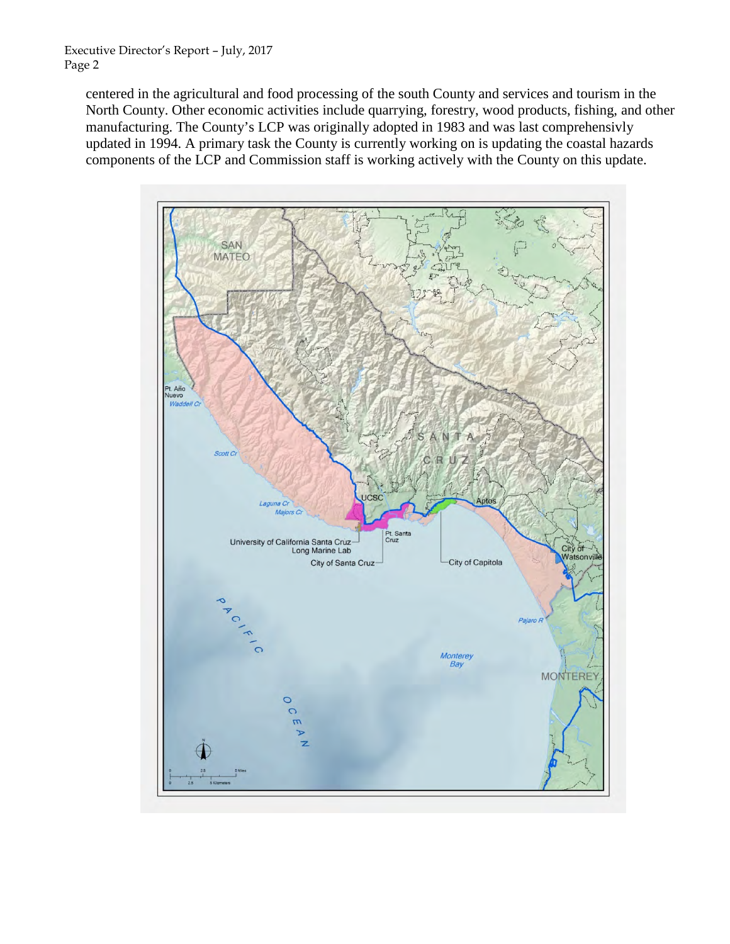centered in the agricultural and food processing of the south County and services and tourism in the North County. Other economic activities include quarrying, forestry, wood products, fishing, and other manufacturing. The County's LCP was originally adopted in 1983 and was last comprehensivly updated in 1994. A primary task the County is currently working on is updating the coastal hazards components of the LCP and Commission staff is working actively with the County on this update.

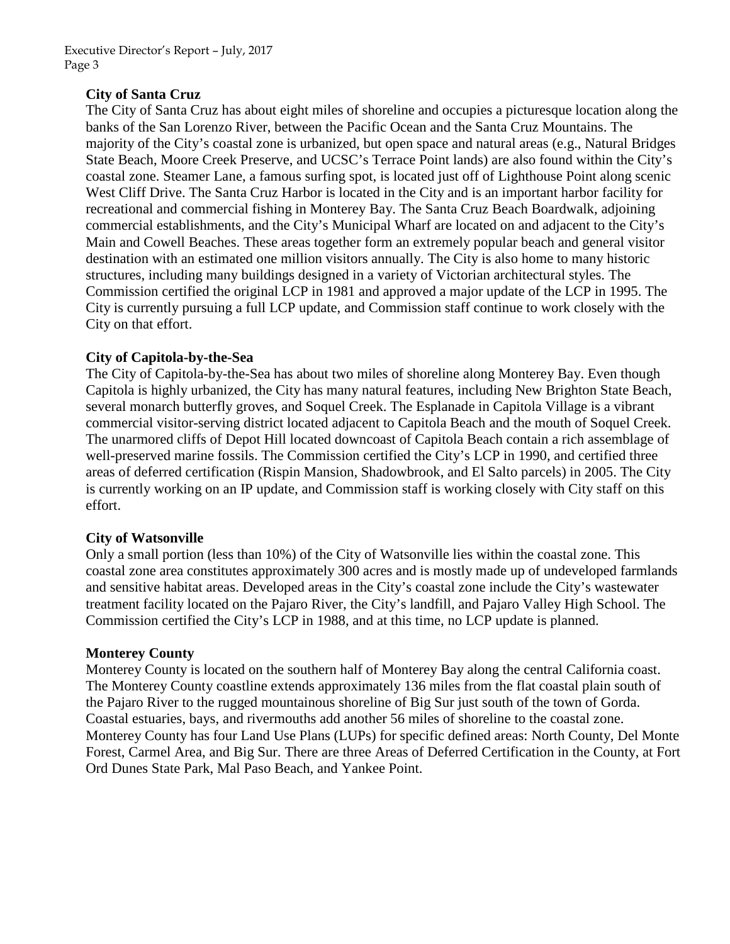### **City of Santa Cruz**

The City of Santa Cruz has about eight miles of shoreline and occupies a picturesque location along the banks of the San Lorenzo River, between the Pacific Ocean and the Santa Cruz Mountains. The majority of the City's coastal zone is urbanized, but open space and natural areas (e.g., Natural Bridges State Beach, Moore Creek Preserve, and UCSC's Terrace Point lands) are also found within the City's coastal zone. Steamer Lane, a famous surfing spot, is located just off of Lighthouse Point along scenic West Cliff Drive. The Santa Cruz Harbor is located in the City and is an important harbor facility for recreational and commercial fishing in Monterey Bay. The Santa Cruz Beach Boardwalk, adjoining commercial establishments, and the City's Municipal Wharf are located on and adjacent to the City's Main and Cowell Beaches. These areas together form an extremely popular beach and general visitor destination with an estimated one million visitors annually. The City is also home to many historic structures, including many buildings designed in a variety of Victorian architectural styles. The Commission certified the original LCP in 1981 and approved a major update of the LCP in 1995. The City is currently pursuing a full LCP update, and Commission staff continue to work closely with the City on that effort.

#### **City of Capitola-by-the-Sea**

The City of Capitola-by-the-Sea has about two miles of shoreline along Monterey Bay. Even though Capitola is highly urbanized, the City has many natural features, including New Brighton State Beach, several monarch butterfly groves, and Soquel Creek. The Esplanade in Capitola Village is a vibrant commercial visitor-serving district located adjacent to Capitola Beach and the mouth of Soquel Creek. The unarmored cliffs of Depot Hill located downcoast of Capitola Beach contain a rich assemblage of well-preserved marine fossils. The Commission certified the City's LCP in 1990, and certified three areas of deferred certification (Rispin Mansion, Shadowbrook, and El Salto parcels) in 2005. The City is currently working on an IP update, and Commission staff is working closely with City staff on this effort.

#### **City of Watsonville**

Only a small portion (less than 10%) of the City of Watsonville lies within the coastal zone. This coastal zone area constitutes approximately 300 acres and is mostly made up of undeveloped farmlands and sensitive habitat areas. Developed areas in the City's coastal zone include the City's wastewater treatment facility located on the Pajaro River, the City's landfill, and Pajaro Valley High School. The Commission certified the City's LCP in 1988, and at this time, no LCP update is planned.

#### **Monterey County**

Monterey County is located on the southern half of Monterey Bay along the central California coast. The Monterey County coastline extends approximately 136 miles from the flat coastal plain south of the Pajaro River to the rugged mountainous shoreline of Big Sur just south of the town of Gorda. Coastal estuaries, bays, and rivermouths add another 56 miles of shoreline to the coastal zone. Monterey County has four Land Use Plans (LUPs) for specific defined areas: North County, Del Monte Forest, Carmel Area, and Big Sur. There are three Areas of Deferred Certification in the County, at Fort Ord Dunes State Park, Mal Paso Beach, and Yankee Point.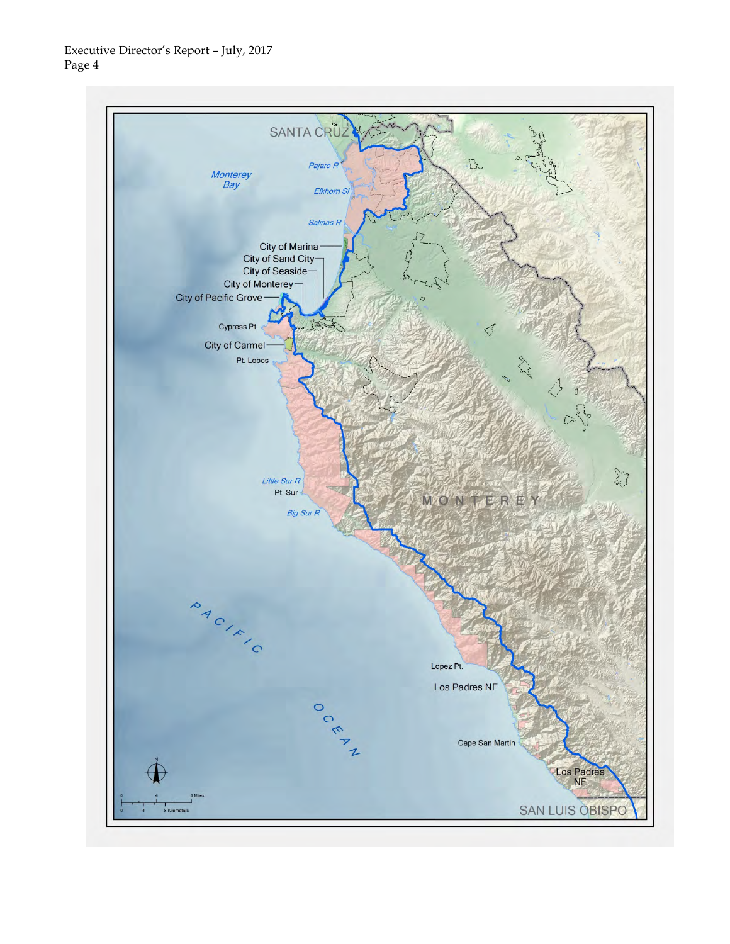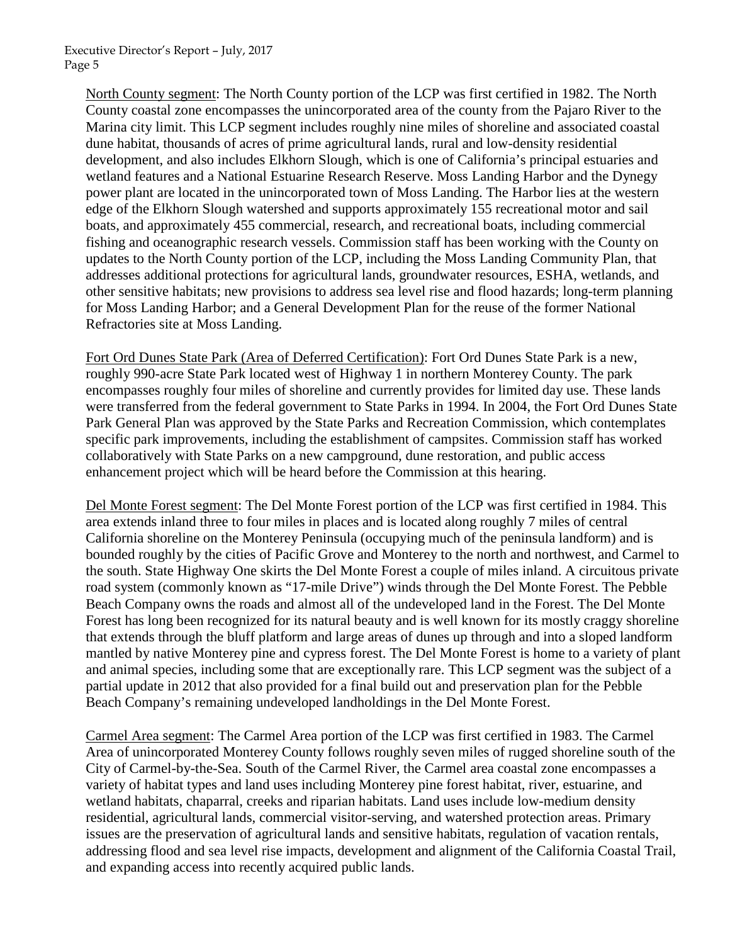> North County segment: The North County portion of the LCP was first certified in 1982. The North County coastal zone encompasses the unincorporated area of the county from the Pajaro River to the Marina city limit. This LCP segment includes roughly nine miles of shoreline and associated coastal dune habitat, thousands of acres of prime agricultural lands, rural and low-density residential development, and also includes Elkhorn Slough, which is one of California's principal estuaries and wetland features and a National Estuarine Research Reserve. Moss Landing Harbor and the Dynegy power plant are located in the unincorporated town of Moss Landing. The Harbor lies at the western edge of the Elkhorn Slough watershed and supports approximately 155 recreational motor and sail boats, and approximately 455 commercial, research, and recreational boats, including commercial fishing and oceanographic research vessels. Commission staff has been working with the County on updates to the North County portion of the LCP, including the Moss Landing Community Plan, that addresses additional protections for agricultural lands, groundwater resources, ESHA, wetlands, and other sensitive habitats; new provisions to address sea level rise and flood hazards; long-term planning for Moss Landing Harbor; and a General Development Plan for the reuse of the former National Refractories site at Moss Landing.

> Fort Ord Dunes State Park (Area of Deferred Certification): Fort Ord Dunes State Park is a new, roughly 990-acre State Park located west of Highway 1 in northern Monterey County. The park encompasses roughly four miles of shoreline and currently provides for limited day use. These lands were transferred from the federal government to State Parks in 1994. In 2004, the Fort Ord Dunes State Park General Plan was approved by the State Parks and Recreation Commission, which contemplates specific park improvements, including the establishment of campsites. Commission staff has worked collaboratively with State Parks on a new campground, dune restoration, and public access enhancement project which will be heard before the Commission at this hearing.

> Del Monte Forest segment: The Del Monte Forest portion of the LCP was first certified in 1984. This area extends inland three to four miles in places and is located along roughly 7 miles of central California shoreline on the Monterey Peninsula (occupying much of the peninsula landform) and is bounded roughly by the cities of Pacific Grove and Monterey to the north and northwest, and Carmel to the south. State Highway One skirts the Del Monte Forest a couple of miles inland. A circuitous private road system (commonly known as "17-mile Drive") winds through the Del Monte Forest. The Pebble Beach Company owns the roads and almost all of the undeveloped land in the Forest. The Del Monte Forest has long been recognized for its natural beauty and is well known for its mostly craggy shoreline that extends through the bluff platform and large areas of dunes up through and into a sloped landform mantled by native Monterey pine and cypress forest. The Del Monte Forest is home to a variety of plant and animal species, including some that are exceptionally rare. This LCP segment was the subject of a partial update in 2012 that also provided for a final build out and preservation plan for the Pebble Beach Company's remaining undeveloped landholdings in the Del Monte Forest.

> Carmel Area segment: The Carmel Area portion of the LCP was first certified in 1983. The Carmel Area of unincorporated Monterey County follows roughly seven miles of rugged shoreline south of the City of Carmel-by-the-Sea. South of the Carmel River, the Carmel area coastal zone encompasses a variety of habitat types and land uses including Monterey pine forest habitat, river, estuarine, and wetland habitats, chaparral, creeks and riparian habitats. Land uses include low-medium density residential, agricultural lands, commercial visitor-serving, and watershed protection areas. Primary issues are the preservation of agricultural lands and sensitive habitats, regulation of vacation rentals, addressing flood and sea level rise impacts, development and alignment of the California Coastal Trail, and expanding access into recently acquired public lands.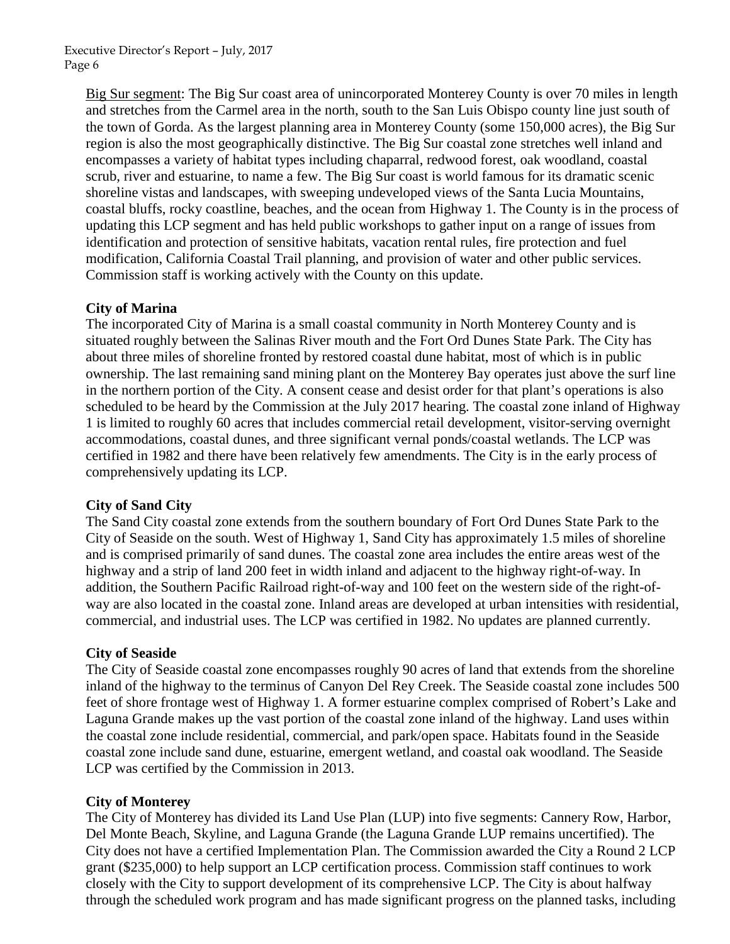> Big Sur segment: The Big Sur coast area of unincorporated Monterey County is over 70 miles in length and stretches from the Carmel area in the north, south to the San Luis Obispo county line just south of the town of Gorda. As the largest planning area in Monterey County (some 150,000 acres), the Big Sur region is also the most geographically distinctive. The Big Sur coastal zone stretches well inland and encompasses a variety of habitat types including chaparral, redwood forest, oak woodland, coastal scrub, river and estuarine, to name a few. The Big Sur coast is world famous for its dramatic scenic shoreline vistas and landscapes, with sweeping undeveloped views of the Santa Lucia Mountains, coastal bluffs, rocky coastline, beaches, and the ocean from Highway 1. The County is in the process of updating this LCP segment and has held public workshops to gather input on a range of issues from identification and protection of sensitive habitats, vacation rental rules, fire protection and fuel modification, California Coastal Trail planning, and provision of water and other public services. Commission staff is working actively with the County on this update.

### **City of Marina**

The incorporated City of Marina is a small coastal community in North Monterey County and is situated roughly between the Salinas River mouth and the Fort Ord Dunes State Park. The City has about three miles of shoreline fronted by restored coastal dune habitat, most of which is in public ownership. The last remaining sand mining plant on the Monterey Bay operates just above the surf line in the northern portion of the City. A consent cease and desist order for that plant's operations is also scheduled to be heard by the Commission at the July 2017 hearing. The coastal zone inland of Highway 1 is limited to roughly 60 acres that includes commercial retail development, visitor-serving overnight accommodations, coastal dunes, and three significant vernal ponds/coastal wetlands. The LCP was certified in 1982 and there have been relatively few amendments. The City is in the early process of comprehensively updating its LCP.

#### **City of Sand City**

The Sand City coastal zone extends from the southern boundary of Fort Ord Dunes State Park to the City of Seaside on the south. West of Highway 1, Sand City has approximately 1.5 miles of shoreline and is comprised primarily of sand dunes. The coastal zone area includes the entire areas west of the highway and a strip of land 200 feet in width inland and adjacent to the highway right-of-way. In addition, the Southern Pacific Railroad right-of-way and 100 feet on the western side of the right-ofway are also located in the coastal zone. Inland areas are developed at urban intensities with residential, commercial, and industrial uses. The LCP was certified in 1982. No updates are planned currently.

#### **City of Seaside**

The City of Seaside coastal zone encompasses roughly 90 acres of land that extends from the shoreline inland of the highway to the terminus of Canyon Del Rey Creek. The Seaside coastal zone includes 500 feet of shore frontage west of Highway 1. A former estuarine complex comprised of Robert's Lake and Laguna Grande makes up the vast portion of the coastal zone inland of the highway. Land uses within the coastal zone include residential, commercial, and park/open space. Habitats found in the Seaside coastal zone include sand dune, estuarine, emergent wetland, and coastal oak woodland. The Seaside LCP was certified by the Commission in 2013.

#### **City of Monterey**

The City of Monterey has divided its Land Use Plan (LUP) into five segments: Cannery Row, Harbor, Del Monte Beach, Skyline, and Laguna Grande (the Laguna Grande LUP remains uncertified). The City does not have a certified Implementation Plan. The Commission awarded the City a Round 2 LCP grant (\$235,000) to help support an LCP certification process. Commission staff continues to work closely with the City to support development of its comprehensive LCP. The City is about halfway through the scheduled work program and has made significant progress on the planned tasks, including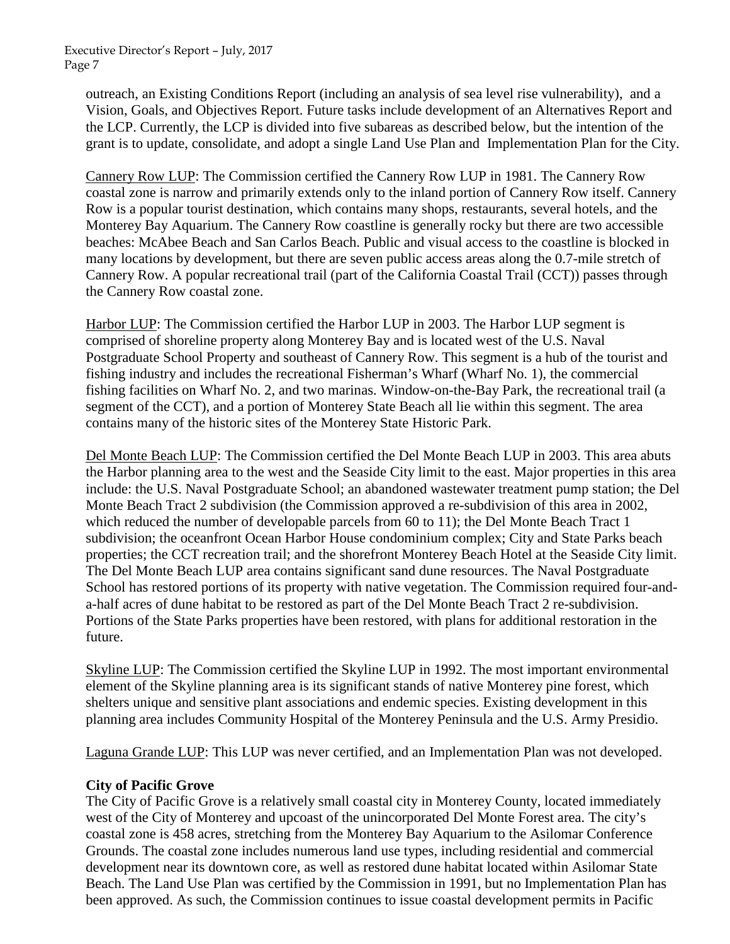> outreach, an Existing Conditions Report (including an analysis of sea level rise vulnerability), and a Vision, Goals, and Objectives Report. Future tasks include development of an Alternatives Report and the LCP. Currently, the LCP is divided into five subareas as described below, but the intention of the grant is to update, consolidate, and adopt a single Land Use Plan and Implementation Plan for the City.

> Cannery Row LUP: The Commission certified the Cannery Row LUP in 1981. The Cannery Row coastal zone is narrow and primarily extends only to the inland portion of Cannery Row itself. Cannery Row is a popular tourist destination, which contains many shops, restaurants, several hotels, and the Monterey Bay Aquarium. The Cannery Row coastline is generally rocky but there are two accessible beaches: McAbee Beach and San Carlos Beach. Public and visual access to the coastline is blocked in many locations by development, but there are seven public access areas along the 0.7-mile stretch of Cannery Row. A popular recreational trail (part of the California Coastal Trail (CCT)) passes through the Cannery Row coastal zone.

Harbor LUP: The Commission certified the Harbor LUP in 2003. The Harbor LUP segment is comprised of shoreline property along Monterey Bay and is located west of the U.S. Naval Postgraduate School Property and southeast of Cannery Row. This segment is a hub of the tourist and fishing industry and includes the recreational Fisherman's Wharf (Wharf No. 1), the commercial fishing facilities on Wharf No. 2, and two marinas. Window-on-the-Bay Park, the recreational trail (a segment of the CCT), and a portion of Monterey State Beach all lie within this segment. The area contains many of the historic sites of the Monterey State Historic Park.

Del Monte Beach LUP: The Commission certified the Del Monte Beach LUP in 2003. This area abuts the Harbor planning area to the west and the Seaside City limit to the east. Major properties in this area include: the U.S. Naval Postgraduate School; an abandoned wastewater treatment pump station; the Del Monte Beach Tract 2 subdivision (the Commission approved a re-subdivision of this area in 2002, which reduced the number of developable parcels from 60 to 11); the Del Monte Beach Tract 1 subdivision; the oceanfront Ocean Harbor House condominium complex; City and State Parks beach properties; the CCT recreation trail; and the shorefront Monterey Beach Hotel at the Seaside City limit. The Del Monte Beach LUP area contains significant sand dune resources. The Naval Postgraduate School has restored portions of its property with native vegetation. The Commission required four-anda-half acres of dune habitat to be restored as part of the Del Monte Beach Tract 2 re-subdivision. Portions of the State Parks properties have been restored, with plans for additional restoration in the future.

Skyline LUP: The Commission certified the Skyline LUP in 1992. The most important environmental element of the Skyline planning area is its significant stands of native Monterey pine forest, which shelters unique and sensitive plant associations and endemic species. Existing development in this planning area includes Community Hospital of the Monterey Peninsula and the U.S. Army Presidio.

Laguna Grande LUP: This LUP was never certified, and an Implementation Plan was not developed.

## **City of Pacific Grove**

The City of Pacific Grove is a relatively small coastal city in Monterey County, located immediately west of the City of Monterey and upcoast of the unincorporated Del Monte Forest area. The city's coastal zone is 458 acres, stretching from the Monterey Bay Aquarium to the Asilomar Conference Grounds. The coastal zone includes numerous land use types, including residential and commercial development near its downtown core, as well as restored dune habitat located within Asilomar State Beach. The Land Use Plan was certified by the Commission in 1991, but no Implementation Plan has been approved. As such, the Commission continues to issue coastal development permits in Pacific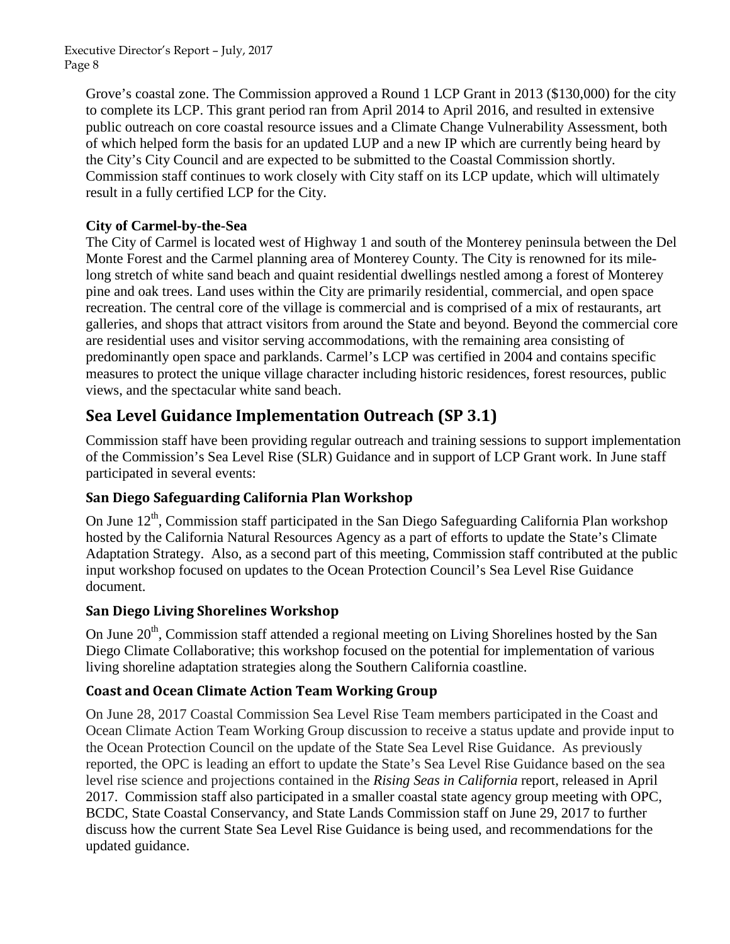> Grove's coastal zone. The Commission approved a Round 1 LCP Grant in 2013 (\$130,000) for the city to complete its LCP. This grant period ran from April 2014 to April 2016, and resulted in extensive public outreach on core coastal resource issues and a Climate Change Vulnerability Assessment, both of which helped form the basis for an updated LUP and a new IP which are currently being heard by the City's City Council and are expected to be submitted to the Coastal Commission shortly. Commission staff continues to work closely with City staff on its LCP update, which will ultimately result in a fully certified LCP for the City.

## **City of Carmel-by-the-Sea**

The City of Carmel is located west of Highway 1 and south of the Monterey peninsula between the Del Monte Forest and the Carmel planning area of Monterey County. The City is renowned for its milelong stretch of white sand beach and quaint residential dwellings nestled among a forest of Monterey pine and oak trees. Land uses within the City are primarily residential, commercial, and open space recreation. The central core of the village is commercial and is comprised of a mix of restaurants, art galleries, and shops that attract visitors from around the State and beyond. Beyond the commercial core are residential uses and visitor serving accommodations, with the remaining area consisting of predominantly open space and parklands. Carmel's LCP was certified in 2004 and contains specific measures to protect the unique village character including historic residences, forest resources, public views, and the spectacular white sand beach.

## **Sea Level Guidance Implementation Outreach (SP 3.1)**

Commission staff have been providing regular outreach and training sessions to support implementation of the Commission's Sea Level Rise (SLR) Guidance and in support of LCP Grant work. In June staff participated in several events:

## **San Diego Safeguarding California Plan Workshop**

On June 12<sup>th</sup>, Commission staff participated in the San Diego Safeguarding California Plan workshop hosted by the California Natural Resources Agency as a part of efforts to update the State's Climate Adaptation Strategy. Also, as a second part of this meeting, Commission staff contributed at the public input workshop focused on updates to the Ocean Protection Council's Sea Level Rise Guidance document.

## **San Diego Living Shorelines Workshop**

On June 20<sup>th</sup>, Commission staff attended a regional meeting on Living Shorelines hosted by the San Diego Climate Collaborative; this workshop focused on the potential for implementation of various living shoreline adaptation strategies along the Southern California coastline.

## **Coast and Ocean Climate Action Team Working Group**

On June 28, 2017 Coastal Commission Sea Level Rise Team members participated in the Coast and Ocean Climate Action Team Working Group discussion to receive a status update and provide input to the Ocean Protection Council on the update of the State Sea Level Rise Guidance. As previously reported, the OPC is leading an effort to update the State's Sea Level Rise Guidance based on the sea level rise science and projections contained in the *Rising Seas in California* report, released in April 2017. Commission staff also participated in a smaller coastal state agency group meeting with OPC, BCDC, State Coastal Conservancy, and State Lands Commission staff on June 29, 2017 to further discuss how the current State Sea Level Rise Guidance is being used, and recommendations for the updated guidance.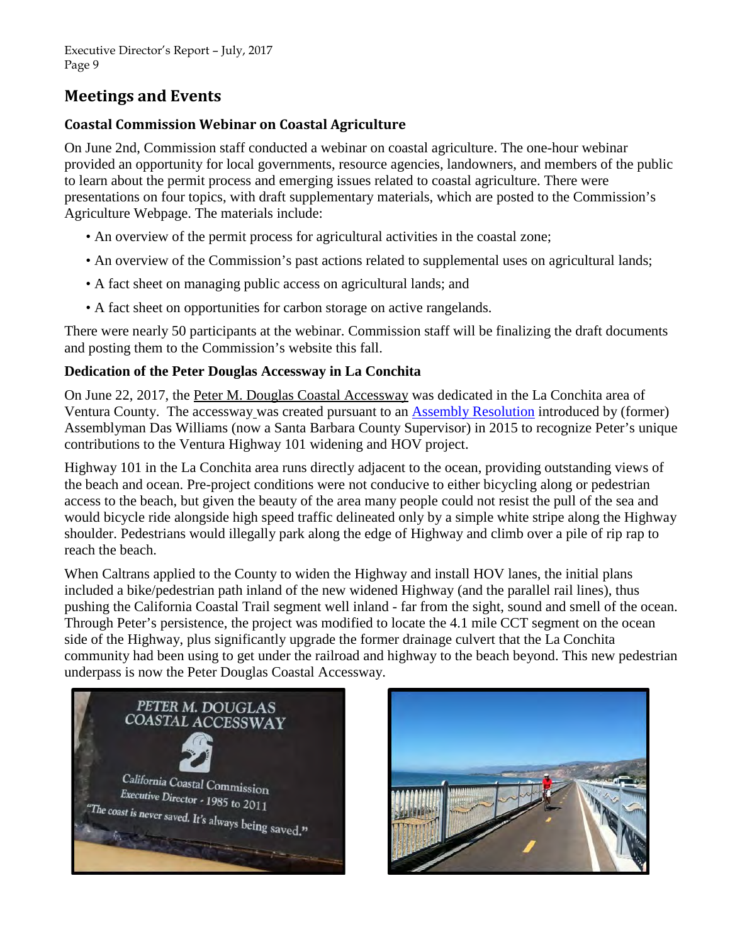# **Meetings and Events**

## **Coastal Commission Webinar on Coastal Agriculture**

On June 2nd, Commission staff conducted a webinar on coastal agriculture. The one-hour webinar provided an opportunity for local governments, resource agencies, landowners, and members of the public to learn about the permit process and emerging issues related to coastal agriculture. There were presentations on four topics, with draft supplementary materials, which are posted to the Commission's Agriculture Webpage. The materials include:

- An overview of the permit process for agricultural activities in the coastal zone;
- An overview of the Commission's past actions related to supplemental uses on agricultural lands;
- A fact sheet on managing public access on agricultural lands; and
- A fact sheet on opportunities for carbon storage on active rangelands.

There were nearly 50 participants at the webinar. Commission staff will be finalizing the draft documents and posting them to the Commission's website this fall.

## **Dedication of the Peter Douglas Accessway in La Conchita**

On June 22, 2017, the Peter M. Douglas Coastal Accessway was dedicated in the La Conchita area of Ventura County. The accessway was created pursuant to an [Assembly Resolution](https://leginfo.legislature.ca.gov/faces/billNavClient.xhtml?bill_id=201520160ACR58) introduced by (former) Assemblyman Das Williams (now a Santa Barbara County Supervisor) in 2015 to recognize Peter's unique contributions to the Ventura Highway 101 widening and HOV project.

Highway 101 in the La Conchita area runs directly adjacent to the ocean, providing outstanding views of the beach and ocean. Pre-project conditions were not conducive to either bicycling along or pedestrian access to the beach, but given the beauty of the area many people could not resist the pull of the sea and would bicycle ride alongside high speed traffic delineated only by a simple white stripe along the Highway shoulder. Pedestrians would illegally park along the edge of Highway and climb over a pile of rip rap to reach the beach.

When Caltrans applied to the County to widen the Highway and install HOV lanes, the initial plans included a bike/pedestrian path inland of the new widened Highway (and the parallel rail lines), thus pushing the California Coastal Trail segment well inland - far from the sight, sound and smell of the ocean. Through Peter's persistence, the project was modified to locate the 4.1 mile CCT segment on the ocean side of the Highway, plus significantly upgrade the former drainage culvert that the La Conchita community had been using to get under the railroad and highway to the beach beyond. This new pedestrian underpass is now the Peter Douglas Coastal Accessway.